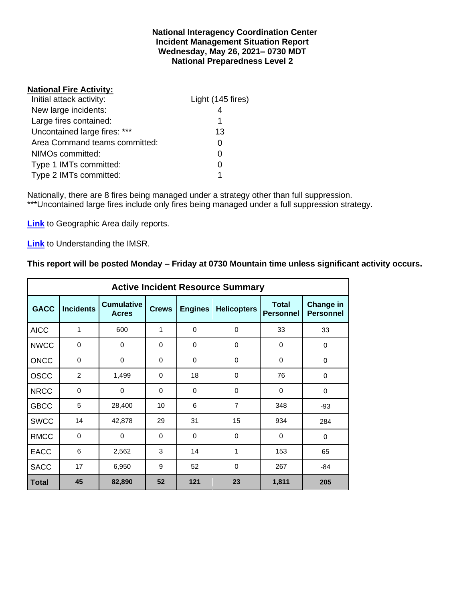#### **National Interagency Coordination Center Incident Management Situation Report Wednesday, May 26, 2021– 0730 MDT National Preparedness Level 2**

#### **National Fire Activity:**

| Initial attack activity:      | Light (145 fires) |
|-------------------------------|-------------------|
| New large incidents:          |                   |
| Large fires contained:        | 1                 |
| Uncontained large fires: ***  | 13                |
| Area Command teams committed: |                   |
| NIMOs committed:              |                   |
| Type 1 IMTs committed:        |                   |
| Type 2 IMTs committed:        |                   |

Nationally, there are 8 fires being managed under a strategy other than full suppression. \*\*\*Uncontained large fires include only fires being managed under a full suppression strategy.

**[Link](http://www.nifc.gov/nicc/predictive/statelinks.htm)** to Geographic Area daily reports.

**[Link](https://www.predictiveservices.nifc.gov/intelligence/Understanding%20the%20IMSR%202019.pdf)** to Understanding the IMSR.

## **This report will be posted Monday – Friday at 0730 Mountain time unless significant activity occurs.**

|              |                  |                                   |              |                | <b>Active Incident Resource Summary</b> |                                  |                                      |
|--------------|------------------|-----------------------------------|--------------|----------------|-----------------------------------------|----------------------------------|--------------------------------------|
| <b>GACC</b>  | <b>Incidents</b> | <b>Cumulative</b><br><b>Acres</b> | <b>Crews</b> | <b>Engines</b> | <b>Helicopters</b>                      | <b>Total</b><br><b>Personnel</b> | <b>Change in</b><br><b>Personnel</b> |
| <b>AICC</b>  | 1                | 600                               | 1            | $\Omega$       | $\mathbf 0$                             | 33                               | 33                                   |
| <b>NWCC</b>  | 0                | 0                                 | 0            | 0              | 0                                       | 0                                | 0                                    |
| <b>ONCC</b>  | 0                | 0                                 | $\Omega$     | $\Omega$       | $\Omega$                                | $\Omega$                         | $\Omega$                             |
| <b>OSCC</b>  | $\overline{2}$   | 1,499                             | $\Omega$     | 18             | $\mathbf 0$                             | 76                               | $\Omega$                             |
| <b>NRCC</b>  | 0                | 0                                 | 0            | $\mathbf 0$    | 0                                       | 0                                | $\mathbf 0$                          |
| <b>GBCC</b>  | 5                | 28,400                            | 10           | 6              | $\overline{7}$                          | 348                              | $-93$                                |
| <b>SWCC</b>  | 14               | 42,878                            | 29           | 31             | 15                                      | 934                              | 284                                  |
| <b>RMCC</b>  | $\mathbf 0$      | 0                                 | $\Omega$     | $\Omega$       | $\Omega$                                | $\Omega$                         | $\Omega$                             |
| <b>EACC</b>  | 6                | 2,562                             | 3            | 14             | 1                                       | 153                              | 65                                   |
| <b>SACC</b>  | 17               | 6,950                             | 9            | 52             | 0                                       | 267                              | $-84$                                |
| <b>Total</b> | 45               | 82,890                            | 52           | 121            | 23                                      | 1,811                            | 205                                  |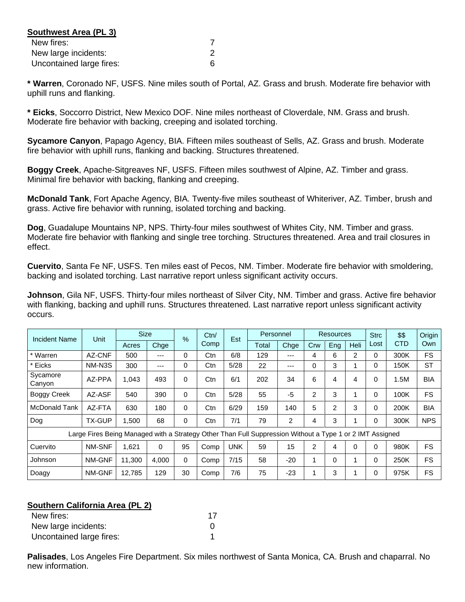| Southwest Area (PL 3)    |  |
|--------------------------|--|
| New fires:               |  |
| New large incidents:     |  |
| Uncontained large fires: |  |

**\* Warren**, Coronado NF, USFS. Nine miles south of Portal, AZ. Grass and brush. Moderate fire behavior with uphill runs and flanking.

**\* Eicks**, Soccorro District, New Mexico DOF. Nine miles northeast of Cloverdale, NM. Grass and brush. Moderate fire behavior with backing, creeping and isolated torching.

**Sycamore Canyon**, Papago Agency, BIA. Fifteen miles southeast of Sells, AZ. Grass and brush. Moderate fire behavior with uphill runs, flanking and backing. Structures threatened.

**Boggy Creek**, Apache-Sitgreaves NF, USFS. Fifteen miles southwest of Alpine, AZ. Timber and grass. Minimal fire behavior with backing, flanking and creeping.

**McDonald Tank**, Fort Apache Agency, BIA. Twenty-five miles southeast of Whiteriver, AZ. Timber, brush and grass. Active fire behavior with running, isolated torching and backing.

**Dog**, Guadalupe Mountains NP, NPS. Thirty-four miles southwest of Whites City, NM. Timber and grass. Moderate fire behavior with flanking and single tree torching. Structures threatened. Area and trail closures in effect.

**Cuervito**, Santa Fe NF, USFS. Ten miles east of Pecos, NM. Timber. Moderate fire behavior with smoldering, backing and isolated torching. Last narrative report unless significant activity occurs.

**Johnson**, Gila NF, USFS. Thirty-four miles northeast of Silver City, NM. Timber and grass. Active fire behavior with flanking, backing and uphill runs. Structures threatened. Last narrative report unless significant activity occurs.

| Incident Name      | Unit                                                                                                     | <b>Size</b> |       | $\frac{9}{6}$ | Ctn/ | Est        | Personnel |       |                | <b>Resources</b> |                | <b>Strc</b> | \$\$       | Origin     |
|--------------------|----------------------------------------------------------------------------------------------------------|-------------|-------|---------------|------|------------|-----------|-------|----------------|------------------|----------------|-------------|------------|------------|
|                    |                                                                                                          | Acres       | Chge  |               | Comp |            | Total     | Chge  | Crw            | Eng              | Heli           | Lost        | <b>CTD</b> | Own        |
| * Warren           | AZ-CNF                                                                                                   | 500         | ---   | $\Omega$      | Ctn  | 6/8        | 129       | ---   | 4              | 6                | $\overline{2}$ | 0           | 300K       | <b>FS</b>  |
| * Eicks            | NM-N3S                                                                                                   | 300         | ---   | 0             | Ctn  | 5/28       | 22        | ---   | $\Omega$       | 3                |                | 0           | 150K       | <b>ST</b>  |
| Sycamore<br>Canyon | AZ-PPA                                                                                                   | 1,043       | 493   | $\Omega$      | Ctn  | 6/1        | 202       | 34    | 6              | 4                | 4              | $\Omega$    | 1.5M       | <b>BIA</b> |
| <b>Boggy Creek</b> | AZ-ASF                                                                                                   | 540         | 390   | 0             | Ctn  | 5/28       | 55        | $-5$  | $\overline{2}$ | 3                |                | $\Omega$    | 100K       | <b>FS</b>  |
| McDonald Tank      | AZ-FTA                                                                                                   | 630         | 180   | 0             | Ctn  | 6/29       | 159       | 140   | 5              | 2                | 3              | 0           | 200K       | BIA        |
| Dog                | TX-GUP                                                                                                   | 1.500       | 68    | 0             | Ctn  | 7/1        | 79        | 2     | 4              | 3                |                | 0           | 300K       | <b>NPS</b> |
|                    | Large Fires Being Managed with a Strategy Other Than Full Suppression Without a Type 1 or 2 IMT Assigned |             |       |               |      |            |           |       |                |                  |                |             |            |            |
| Cuervito           | NM-SNF                                                                                                   | 1,621       | 0     | 95            | Comp | <b>UNK</b> | 59        | 15    | 2              | 4                | 0              | $\Omega$    | 980K       | <b>FS</b>  |
| Johnson            | NM-GNF                                                                                                   | 11,300      | 4,000 | 0             | Comp | 7/15       | 58        | $-20$ | 4              | $\Omega$         |                | $\Omega$    | 250K       | <b>FS</b>  |
| Doagy              | NM-GNF                                                                                                   | 12,785      | 129   | 30            | Comp | 7/6        | 75        | $-23$ |                | 3                |                | 0           | 975K       | <b>FS</b>  |

## **Southern California Area (PL 2)**

| New fires:               |  |
|--------------------------|--|
| New large incidents:     |  |
| Uncontained large fires: |  |

**Palisades**, Los Angeles Fire Department. Six miles northwest of Santa Monica, CA. Brush and chaparral. No new information.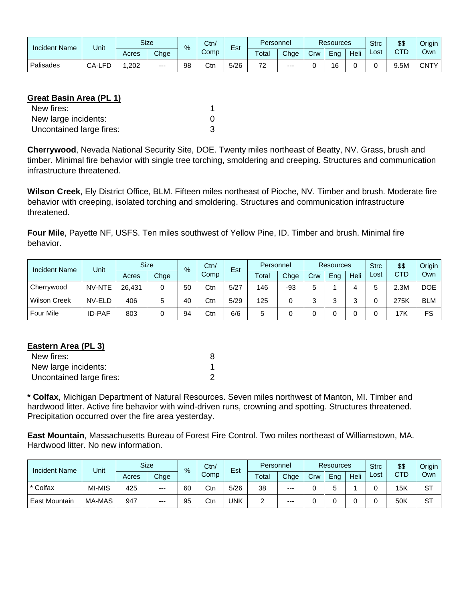| <b>Incident Name</b> | Unit   |       | Size  |    | Ctn/<br>$\%$ |      | Personnel |       | <b>Resources</b> |     |      | <b>Strc</b> | \$\$ | Origin |
|----------------------|--------|-------|-------|----|--------------|------|-----------|-------|------------------|-----|------|-------------|------|--------|
|                      |        | Acres | Chge  |    | Comp         | Est  | Total     | Chge  | Crw              | Ena | Heli | ∟ost        | CTD  | Own    |
| Palisades            | CA-LFD | ,202  | $---$ | 98 | Ctn          | 5/26 | 70        | $---$ |                  | 16  |      |             | 9.5M | CNTY   |

# **Great Basin Area (PL 1)**

| New fires:               |  |
|--------------------------|--|
| New large incidents:     |  |
| Uncontained large fires: |  |

**Cherrywood**, Nevada National Security Site, DOE. Twenty miles northeast of Beatty, NV. Grass, brush and timber. Minimal fire behavior with single tree torching, smoldering and creeping. Structures and communication infrastructure threatened.

**Wilson Creek**, Ely District Office, BLM. Fifteen miles northeast of Pioche, NV. Timber and brush. Moderate fire behavior with creeping, isolated torching and smoldering. Structures and communication infrastructure threatened.

**Four Mile**, Payette NF, USFS. Ten miles southwest of Yellow Pine, ID. Timber and brush. Minimal fire behavior.

| <b>Incident Name</b> | Unit          |        | <b>Size</b> | $\frac{9}{6}$ | Ctn/ | Est  |       | Personnel |     | Resources |      |      | \$\$ | Origin     |
|----------------------|---------------|--------|-------------|---------------|------|------|-------|-----------|-----|-----------|------|------|------|------------|
|                      |               | Acres  | Chge        |               | Comp |      | Total | Chge      | Crw | Eng       | Heli | Lost | CTD  | Own        |
| Cherrywood           | NV-NTE        | 26.431 | 0           | 50            | Ctn  | 5/27 | 146   | -93       | 5.  |           |      |      | 2.3M | <b>DOE</b> |
| <b>Wilson Creek</b>  | NV-ELD        | 406    | 5           | 40            | Ctn  | 5/29 | 125   | 0         | ົ   | ົ         | ົ    |      | 275K | <b>BLM</b> |
| Four Mile            | <b>ID-PAF</b> | 803    |             | 94            | Ctn  | 6/6  | 5     |           |     |           |      |      | 17K  | FS         |

# **Eastern Area (PL 3)**

| New fires:               |  |
|--------------------------|--|
| New large incidents:     |  |
| Uncontained large fires: |  |

**\* Colfax**, Michigan Department of Natural Resources. Seven miles northwest of Manton, MI. Timber and hardwood litter. Active fire behavior with wind-driven runs, crowning and spotting. Structures threatened. Precipitation occurred over the fire area yesterday.

**East Mountain**, Massachusetts Bureau of Forest Fire Control. Two miles northeast of Williamstown, MA. Hardwood litter. No new information.

| <b>Incident Name</b> | Unit   |       | <b>Size</b> | $\%$ | Ctn/ | Est  | Personnel |       | <b>Resources</b> |     |      | <b>Strc</b> | \$\$ | Origin    |
|----------------------|--------|-------|-------------|------|------|------|-----------|-------|------------------|-----|------|-------------|------|-----------|
|                      |        | Acres | Chge        |      | Comp |      | Total     | Chge  | Crw              | Eng | Heli | ∟ost        | CTD  | Own       |
| * Colfax             | MI-MIS | 425   | ---         | 60   | Ctn  | 5/26 | 38        | $---$ |                  |     |      |             | 15K  | <b>ST</b> |
| <b>East Mountain</b> | MA-MAS | 947   | $---$       | 95   | Ctr  | UNK  | _         | $---$ |                  |     |      |             | 50K  | <b>ST</b> |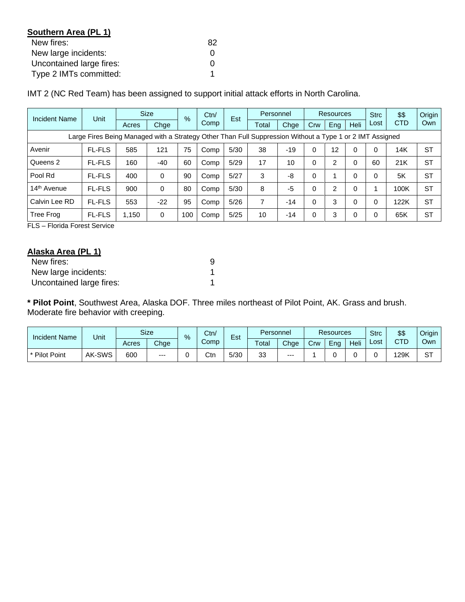| Southern Area (PL 1)     |    |
|--------------------------|----|
| New fires:               | 82 |
| New large incidents:     |    |
| Uncontained large fires: |    |
| Type 2 IMTs committed:   |    |

IMT 2 (NC Red Team) has been assigned to support initial attack efforts in North Carolina.

| Incident Name                                                                                            | Unit          | <b>Size</b> | $\%$     | Ctn/ | Est  |      | Personnel |       | Resources |                |          | \$\$ | Origin     |           |
|----------------------------------------------------------------------------------------------------------|---------------|-------------|----------|------|------|------|-----------|-------|-----------|----------------|----------|------|------------|-----------|
|                                                                                                          |               | Acres       | Chge     |      | Comp |      | Total     | Chge  | Crw       | Eng            | Heli     | Lost | <b>CTD</b> | Own       |
| Large Fires Being Managed with a Strategy Other Than Full Suppression Without a Type 1 or 2 IMT Assigned |               |             |          |      |      |      |           |       |           |                |          |      |            |           |
| Avenir                                                                                                   | <b>FL-FLS</b> | 585         | 121      | 75   | Comp | 5/30 | 38        | $-19$ | 0         | 12             | 0        |      | 14K        | <b>ST</b> |
| Queens 2                                                                                                 | <b>FL-FLS</b> | 160         | $-40$    | 60   | Comp | 5/29 | 17        | 10    | $\Omega$  | $\overline{2}$ | $\Omega$ | 60   | 21K        | <b>ST</b> |
| Pool Rd                                                                                                  | <b>FL-FLS</b> | 400         | 0        | 90   | Comp | 5/27 | 3         | -8    | $\Omega$  |                | $\Omega$ |      | 5K         | <b>ST</b> |
| 14 <sup>th</sup> Avenue                                                                                  | <b>FL-FLS</b> | 900         | $\Omega$ | 80   | Comp | 5/30 | 8         | -5    | 0         | $\overline{2}$ | $\Omega$ |      | 100K       | <b>ST</b> |
| Calvin Lee RD                                                                                            | <b>FL-FLS</b> | 553         | $-22$    | 95   | Comp | 5/26 | 7         | $-14$ | 0         | 3              | $\Omega$ |      | 122K       | <b>ST</b> |
| Tree Frog                                                                                                | <b>FL-FLS</b> | 1,150       | 0        | 100  | Comp | 5/25 | 10        | $-14$ | 0         | 3              | 0        |      | 65K        | <b>ST</b> |

FLS – Florida Forest Service

# **Alaska Area (PL 1)**

| New fires:               |  |
|--------------------------|--|
| New large incidents:     |  |
| Uncontained large fires: |  |

**\* Pilot Point**, Southwest Area, Alaska DOF. Three miles northeast of Pilot Point, AK. Grass and brush. Moderate fire behavior with creeping.

| <b>Incident Name</b> | Unit   |       | <b>Size</b> | $\%$ | Ctn/<br>- |       | Est  |       | Personnel<br><b>Resources</b> |      |      | <b>Strc</b> | \$\$ | <b>Origin</b> |
|----------------------|--------|-------|-------------|------|-----------|-------|------|-------|-------------------------------|------|------|-------------|------|---------------|
|                      |        | Acres | Chge        |      | Comp      | Total | Chge | Crw   | Eng                           | Heli | ∟ost | CTD<br>◡    | Own  |               |
| <b>Pilot Point</b>   | AK-SWS | 600   | $---$       |      | Ctn       | 5/30  | 33   | $---$ |                               |      |      |             | 29K  | oт<br>ت       |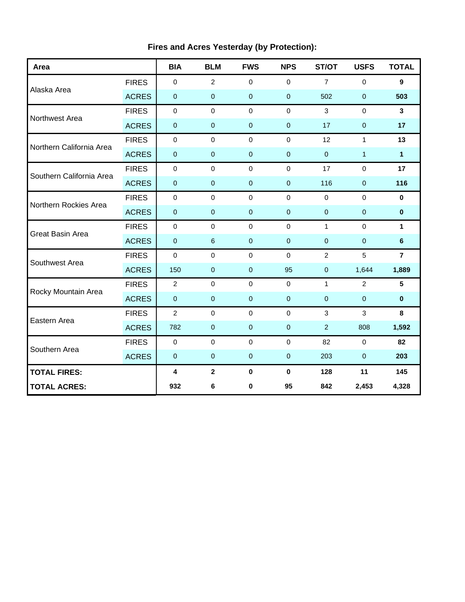| Area                     |              | <b>BIA</b>     | <b>BLM</b>              | <b>FWS</b>       | <b>NPS</b>     | ST/OT          | <b>USFS</b>    | <b>TOTAL</b>    |
|--------------------------|--------------|----------------|-------------------------|------------------|----------------|----------------|----------------|-----------------|
|                          | <b>FIRES</b> | $\mathbf 0$    | $\overline{2}$          | $\mathbf 0$      | $\Omega$       | $\overline{7}$ | $\mathbf 0$    | 9               |
| Alaska Area              | <b>ACRES</b> | $\pmb{0}$      | $\mathbf 0$             | $\mathbf 0$      | $\mathbf{0}$   | 502            | $\pmb{0}$      | 503             |
| Northwest Area           | <b>FIRES</b> | $\mathbf 0$    | $\mathbf 0$             | $\mathbf 0$      | $\mathbf 0$    | 3              | $\mathbf 0$    | 3               |
|                          | <b>ACRES</b> | $\mathbf 0$    | $\mathbf 0$             | $\mathbf 0$      | $\mathbf 0$    | 17             | $\pmb{0}$      | 17              |
| Northern California Area | <b>FIRES</b> | $\mathbf 0$    | $\Omega$                | $\mathbf 0$      | $\Omega$       | 12             | $\mathbf{1}$   | 13              |
|                          | <b>ACRES</b> | $\pmb{0}$      | $\pmb{0}$               | $\mathbf 0$      | $\mathbf 0$    | $\overline{0}$ | $\mathbf{1}$   | 1               |
| Southern California Area | <b>FIRES</b> | $\pmb{0}$      | $\mathbf 0$             | $\mathbf 0$      | $\mathbf 0$    | 17             | $\mathbf 0$    | 17              |
|                          | <b>ACRES</b> | $\pmb{0}$      | $\pmb{0}$               | $\pmb{0}$        | $\pmb{0}$      | 116            | $\pmb{0}$      | 116             |
| Northern Rockies Area    | <b>FIRES</b> | $\pmb{0}$      | $\mathbf 0$             | $\mathbf 0$      | $\mathbf{0}$   | $\mathbf 0$    | $\mathbf 0$    | $\mathbf 0$     |
|                          | <b>ACRES</b> | $\mathbf 0$    | $\mathbf{0}$            | $\mathbf 0$      | $\mathbf{0}$   | $\mathbf{0}$   | $\mathbf{0}$   | $\mathbf{0}$    |
|                          | <b>FIRES</b> | $\mathbf 0$    | $\mathbf 0$             | $\mathbf 0$      | $\mathbf 0$    | $\mathbf{1}$   | $\mathbf 0$    | $\mathbf{1}$    |
| Great Basin Area         | <b>ACRES</b> | $\pmb{0}$      | 6                       | $\mathbf 0$      | $\overline{0}$ | $\mathbf 0$    | $\mathbf 0$    | $6\phantom{1}$  |
| Southwest Area           | <b>FIRES</b> | $\mathbf 0$    | $\mathbf 0$             | $\mathbf 0$      | $\mathbf 0$    | $\overline{2}$ | 5              | $\overline{7}$  |
|                          | <b>ACRES</b> | 150            | $\mathbf 0$             | $\mathbf 0$      | 95             | $\mathbf{0}$   | 1,644          | 1,889           |
| Rocky Mountain Area      | <b>FIRES</b> | $\overline{c}$ | 0                       | $\pmb{0}$        | $\mathbf 0$    | $\mathbf{1}$   | $\overline{2}$ | $5\phantom{.0}$ |
|                          | <b>ACRES</b> | $\pmb{0}$      | $\pmb{0}$               | $\pmb{0}$        | $\pmb{0}$      | $\mathbf 0$    | $\pmb{0}$      | $\pmb{0}$       |
| Eastern Area             | <b>FIRES</b> | $\overline{2}$ | $\mathbf 0$             | $\mathbf 0$      | $\mathbf 0$    | 3              | 3              | 8               |
|                          | <b>ACRES</b> | 782            | $\mathbf 0$             | $\mathbf 0$      | $\mathbf{0}$   | 2              | 808            | 1,592           |
| Southern Area            | <b>FIRES</b> | $\mathbf 0$    | $\Omega$                | $\mathbf 0$      | $\Omega$       | 82             | $\Omega$       | 82              |
|                          | <b>ACRES</b> | $\pmb{0}$      | $\pmb{0}$               | $\boldsymbol{0}$ | $\mathbf 0$    | 203            | $\pmb{0}$      | 203             |
| <b>TOTAL FIRES:</b>      |              | 4              | $\overline{\mathbf{2}}$ | $\pmb{0}$        | $\mathbf 0$    | 128            | 11             | 145             |
| <b>TOTAL ACRES:</b>      |              | 932            | 6                       | 0                | 95             | 842            | 2,453          | 4,328           |

# **Fires and Acres Yesterday (by Protection):**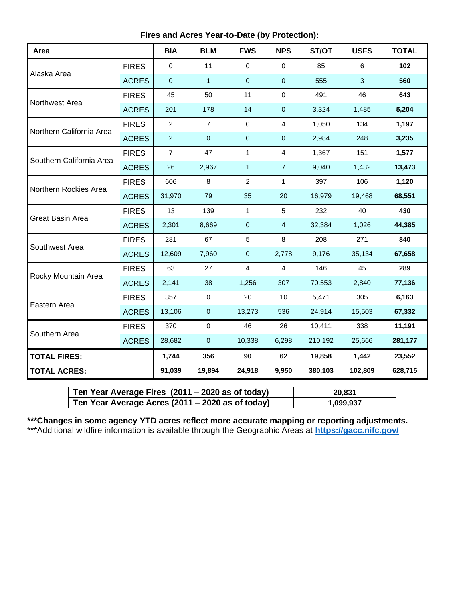| Area                     |              | <b>BIA</b>     | <b>BLM</b>     | <b>FWS</b>     | <b>NPS</b>     | ST/OT   | <b>USFS</b> | <b>TOTAL</b> |
|--------------------------|--------------|----------------|----------------|----------------|----------------|---------|-------------|--------------|
|                          | <b>FIRES</b> | $\mathbf 0$    | 11             | 0              | $\mathbf 0$    | 85      | 6           | 102          |
| Alaska Area              | <b>ACRES</b> | $\pmb{0}$      | $\mathbf{1}$   | 0              | $\pmb{0}$      | 555     | 3           | 560          |
| Northwest Area           | <b>FIRES</b> | 45             | 50             | 11             | $\mathbf 0$    | 491     | 46          | 643          |
|                          | <b>ACRES</b> | 201            | 178            | 14             | $\pmb{0}$      | 3,324   | 1,485       | 5,204        |
| Northern California Area | <b>FIRES</b> | $\overline{c}$ | $\overline{7}$ | $\pmb{0}$      | 4              | 1,050   | 134         | 1,197        |
|                          | <b>ACRES</b> | $\overline{2}$ | $\pmb{0}$      | 0              | $\pmb{0}$      | 2,984   | 248         | 3,235        |
| Southern California Area | <b>FIRES</b> | $\overline{7}$ | 47             | $\mathbf{1}$   | $\overline{4}$ | 1,367   | 151         | 1,577        |
|                          | <b>ACRES</b> | 26             | 2,967          | $\mathbf{1}$   | $\overline{7}$ | 9,040   | 1,432       | 13,473       |
| Northern Rockies Area    | <b>FIRES</b> | 606            | 8              | $\overline{2}$ | $\mathbf{1}$   | 397     | 106         | 1,120        |
|                          | <b>ACRES</b> | 31,970         | 79             | 35             | 20             | 16,979  | 19,468      | 68,551       |
| Great Basin Area         | <b>FIRES</b> | 13             | 139            | $\mathbf{1}$   | 5              | 232     | 40          | 430          |
|                          | <b>ACRES</b> | 2,301          | 8,669          | $\mathbf 0$    | $\overline{4}$ | 32,384  | 1,026       | 44,385       |
| Southwest Area           | <b>FIRES</b> | 281            | 67             | 5              | 8              | 208     | 271         | 840          |
|                          | <b>ACRES</b> | 12,609         | 7,960          | $\pmb{0}$      | 2,778          | 9,176   | 35,134      | 67,658       |
| Rocky Mountain Area      | <b>FIRES</b> | 63             | 27             | $\overline{4}$ | $\overline{4}$ | 146     | 45          | 289          |
|                          | <b>ACRES</b> | 2,141          | 38             | 1,256          | 307            | 70,553  | 2,840       | 77,136       |
| Eastern Area             | <b>FIRES</b> | 357            | $\mathbf 0$    | 20             | 10             | 5,471   | 305         | 6,163        |
|                          | <b>ACRES</b> | 13,106         | 0              | 13,273         | 536            | 24,914  | 15,503      | 67,332       |
|                          | <b>FIRES</b> | 370            | $\pmb{0}$      | 46             | 26             | 10,411  | 338         | 11,191       |
| Southern Area            | <b>ACRES</b> | 28,682         | $\pmb{0}$      | 10,338         | 6,298          | 210,192 | 25,666      | 281,177      |
| <b>TOTAL FIRES:</b>      |              | 1,744          | 356            | 90             | 62             | 19,858  | 1,442       | 23,552       |
| <b>TOTAL ACRES:</b>      |              | 91,039         | 19,894         | 24,918         | 9,950          | 380,103 | 102,809     | 628,715      |

| Ten Year Average Fires (2011 – 2020 as of today) | 20.831    |
|--------------------------------------------------|-----------|
| Ten Year Average Acres (2011 – 2020 as of today) | 1,099,937 |

**\*\*\*Changes in some agency YTD acres reflect more accurate mapping or reporting adjustments.** \*\*\*Additional wildfire information is available through the Geographic Areas at **<https://gacc.nifc.gov/>**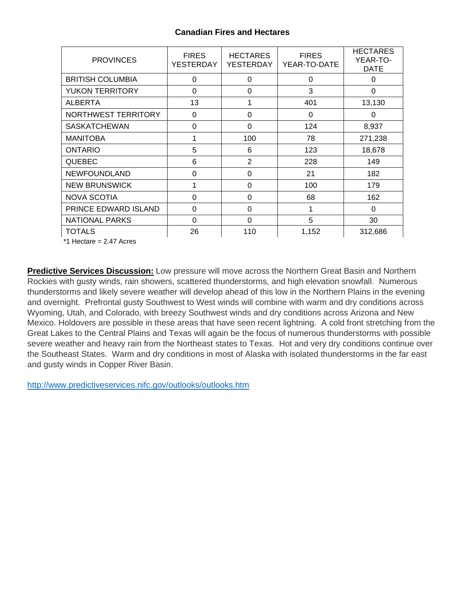## **Canadian Fires and Hectares**

| <b>PROVINCES</b>        | <b>FIRES</b><br><b>YESTERDAY</b> | <b>HECTARES</b><br>YESTERDAY | <b>FIRES</b><br>YEAR-TO-DATE | <b>HECTARES</b><br>YEAR-TO-<br><b>DATE</b> |
|-------------------------|----------------------------------|------------------------------|------------------------------|--------------------------------------------|
| <b>BRITISH COLUMBIA</b> | $\Omega$                         | 0                            | 0                            | $\Omega$                                   |
| <b>YUKON TERRITORY</b>  | 0                                | 0                            | 3                            | 0                                          |
| <b>ALBERTA</b>          | 13                               |                              | 401                          | 13,130                                     |
| NORTHWEST TERRITORY     | 0                                | 0                            | 0                            | 0                                          |
| <b>SASKATCHEWAN</b>     | 0                                | $\Omega$                     | 124                          | 8,937                                      |
| <b>MANITOBA</b>         |                                  | 100                          | 78                           | 271,238                                    |
| <b>ONTARIO</b>          | 5                                | 6                            | 123                          | 18,678                                     |
| <b>QUEBEC</b>           | 6                                | $\overline{2}$               | 228                          | 149                                        |
| <b>NEWFOUNDLAND</b>     | 0                                | 0                            | 21                           | 182                                        |
| <b>NEW BRUNSWICK</b>    |                                  | $\Omega$                     | 100                          | 179                                        |
| <b>NOVA SCOTIA</b>      | $\Omega$                         | $\Omega$                     | 68                           | 162                                        |
| PRINCE EDWARD ISLAND    | 0                                | 0                            | 1                            | 0                                          |
| <b>NATIONAL PARKS</b>   | 0                                | 0                            | 5                            | 30                                         |
| <b>TOTALS</b>           | 26                               | 110                          | 1,152                        | 312,686                                    |

\*1 Hectare = 2.47 Acres

**Predictive Services Discussion:** Low pressure will move across the Northern Great Basin and Northern Rockies with gusty winds, rain showers, scattered thunderstorms, and high elevation snowfall. Numerous thunderstorms and likely severe weather will develop ahead of this low in the Northern Plains in the evening and overnight. Prefrontal gusty Southwest to West winds will combine with warm and dry conditions across Wyoming, Utah, and Colorado, with breezy Southwest winds and dry conditions across Arizona and New Mexico. Holdovers are possible in these areas that have seen recent lightning. A cold front stretching from the Great Lakes to the Central Plains and Texas will again be the focus of numerous thunderstorms with possible severe weather and heavy rain from the Northeast states to Texas. Hot and very dry conditions continue over the Southeast States. Warm and dry conditions in most of Alaska with isolated thunderstorms in the far east and gusty winds in Copper River Basin.

<http://www.predictiveservices.nifc.gov/outlooks/outlooks.htm>